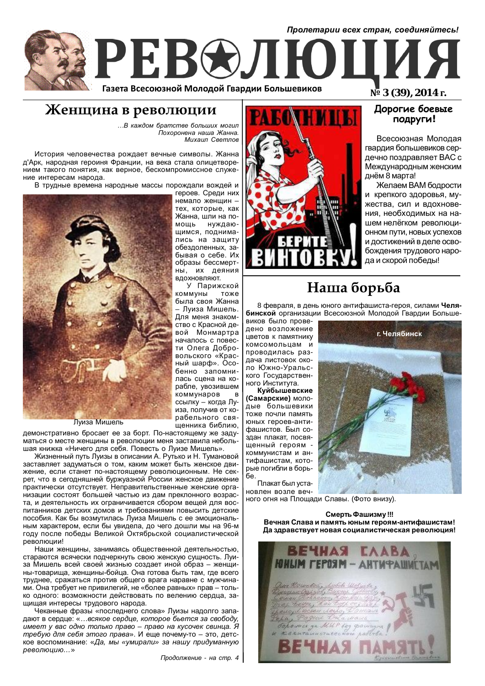

# Женщина в революции

 $...B$  каждом братстве больших могил  $\dot{\Pi}$ охоронена наша Жанна. **Михаил Светлов** 

У Парижской

– Пуиза Мишель.

пенника библию,

История человечества рождает вечные символы. Жанна д'Арк, народная героиня Франции, на века стала олицетворением такого понятия, как верное, бескомпромиссное служение интересам народа.

В трудные времена народные массы порождали вождей и героев. Среди них



Луиза Мишель

демонстративно бросает ее за борт. По-настоящему же задуматься о месте женщины в революции меня заставила небольшая книжка «Ничего для себя. Повесть о Луизе Мишель».

Жизненный путь Луизы в описании А. Рутько и Н. Тумановой заставляет задуматься о том, каким может быть женское движение, если станет по-настоящему революционным. Не секрет, что в сегодняшней буржуазной России женское движение практически отсутствует. Неправительственные женские организации состоят большей частью из дам преклонного возраста, и деятельность их ограничивается сбором вещей для воспитанников детских домов и требованиями повысить детские пособия. Как бы возмутилась Луиза Мишель с ее эмоциональным характером, если бы увидела, до чего дошли мы на 96-м году после победы Великой Октябрьской социалистической революции!

Наши женщины, занимаясь общественной деятельностью, стараются всячески подчеркнуть свою женскую сущность. Луиза Мишель всей своей жизнью создает иной образ – женщины-товарища, женщины-бойца. Она готова быть там, где всего труднее, сражаться против общего врага наравне с мужчинами. Она требует не привилегий, не «более равных» прав – только одного: возможности действовать по велению сердца, защищая интересы трудового народа.

Чеканные фразы «последнего слова» Луизы надолго западают в сердце: «...всякое сердце, которое бьется за свободу,  $u$ меет у вас одно только право – право на кусочек свинца. Я *требую для себя этого права»*. И еще почему-то – это, детское воспоминание: «Да, мы «умирали» за нашу придуманную  $pe$ волюцию...»



## **ǨȒȔȒȇȌȉȅȒȉȆȟȉ** ПОДРУГИ!

Всесоюзная Молодая гвардия большевиков сердечно поздравляет ВАС с Международным женским днём 8 марта!

Желаем ВАМ бодрости и крепкого здоровья, мужества, сил и вдохновения, необходимых на нашем нелёгком революционном пути, новых успехов и достижений в деле освобождения трудового народа и скорой победы!

# Наша борьба

8 февраля, в день юного антифашиста-героя, силами Челя**бинской** организации Всесоюзной Молодой Гвардии Больше-

виков было проведено возложение LIBETOB К ПАМЯТНИКУ комсомольцам и проводилась раздача листовок около Южно-Уральского Государственного Института.

Куйбышевские  $(Ca$ марские) молодые большевики тоже почли память юных героев-антифашистов. Был создан плакат, посвященный героям коммунистам и антифашистам, которые погибли в борь- $6e$ 

Плакат был установлен возле веч-



ного огня на Площади Славы. (Фото внизу).

Смерть Фашизму !!! Вечная Слава и память юным героям-антифашистам! Да здравствует новая социалистическая революция!

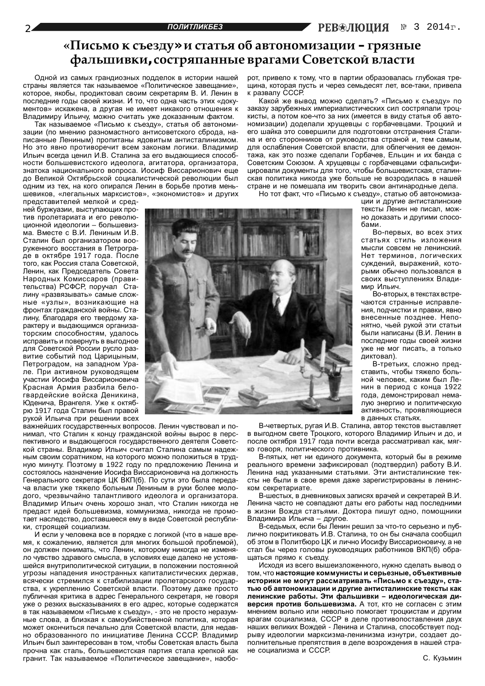## **©ǽȖȟȪȚȜȘȟȨȓȕȒȡ» ȖȟȠȎȠȪȭȜȏȎȐȠȜțȜȚȖȕȎȤȖȖ – ȑȞȭȕțȩȓ**  $\phi$ альшивки, состряпанные врагами Советской власти

Одной из самых грандиозных подделок в истории нашей страны является так называемое «Политическое завещание», которое, якобы, продиктовал своим секретарям В. И. Ленин в последние годы своей жизни. И то, что одна часть этих «документов» искажена, а другая не имеет никакого отношения к Владимиру Ильичу, можно считать уже доказанным фактом.

Так называемое «Письмо к съезду», статья об автономизации (по мнению разномастного антисоветского сброда, написанные Лениным) пропитаны ядовитым антисталинизмом. Но это явно противоречит всем законам логики. Владимир Ильич всегда ценил И.В. Сталина за его выдающиеся способности большевистского идеолога, агитатора, организатора, знатока национального вопроса. Иосиф Виссарионович еще до Великой Октябрьской социалистической революции был одним из тех, на кого опирался Ленин в борьбе против меньшевиков, «легальных марксистов», «экономистов» и других

представителей мелкой и средней буржуазии, выступающих против пролетариата и его революционной идеологии – большевизма. Вместе с В.И. Лениным И.В. Сталин был организатором вооруженного восстания в Петрограie в октябре 1917 года. После того, как Россия стала Советской, Ленин, как Председатель Совета Народных Комиссаров (правительства) РСФСР, поручал Сталину «развязывать» самые сложные «узлы», возникающие на фронтах гражданской войны. Сталину. благодаря его твердому характеру и выдающимся организаторским способностям, удалось исправить и повернуть в выгодное для Советской России русло развитие событий под Царицыным, Петроградом, на западном Урале. При активном руководящем участии Иосифа Виссарионовича Красная Армия разбила белогвардейские войска Деникина, Юденича, Врангеля. Уже к октябрю 1917 года Сталин был правой рукой Ильича при решении всех

важнейших государственных вопросов. Ленин чувствовал и понимал, что Сталин к концу гражданской войны вырос в перспективного и выдающегося государственного деятеля Советской страны. Владимир Ильич считал Сталина самым надежным своим соратником, на которого можно положиться в трудную минуту. Поэтому в 1922 году по предложению Ленина и состоялось назначение Иосифа Виссарионовича на должность Генерального секретаря ЦК ВКП(б). По сути это была передача власти уже тяжело больным Лениным в руки более молодого, чрезвычайно талантливого идеолога и организатора. .<br>Владимир Ильич очень хорошо знал, что Сталин никогда не предаст идей большевизма, коммунизма, никогда не промотает наследство, доставшееся ему в виде Советской республики, строящей социализм.

И если у человека все в порядке с логикой (что в наше время, к сожалению, является для многих большой проблемой). он должен понимать, что Ленин, которому никогда не изменяло чувство здравого смысла, в условиях еще далеко не устоявшейся внутриполитической ситуации, в положении постоянной угрозы нападения иностранных капиталистических держав, всячески стремился к стабилизации пролетарского государства, к укреплению Советской власти. Поэтому даже просто публичная критика в адрес Генерального секретаря, не говоря УЖЕ О DEЗКИХ ВЫСКАЗЫВАНИЯХ В ЕГО АДDЕС, КОТОРЫЕ СОДЕРЖАТСЯ в так называемом «Письме к съезду», - это не просто неразумные слова, а близкая к самоубийственной политика, которая может окончиться печально для Советской власти, для недавно образованного по инициативе Ленина СССР. Владимир Ильич был заинтересован в том, чтобы Советская власть была прочна как сталь, большевистская партия стала крепкой как гранит. Так называемое «Политическое завещание», наоборот, привело к тому, что в партии образовалась глубокая трещина, которая пусть и через семьдесят лет, все-таки, привела к развалу СССР.

Какой же вывод можно сделать? «Письмо к съезду» по заказу зарубежных империалистических сил состряпали троцкисты, а потом кое-что за них (имеется в виду статья об автономизации) доделали хрушевцы с горбачевцами. Троцкий и его шайка это совершили для подготовки отстранения Сталина и его сторонников от руководства страной и, тем самым, для ослабления Советской власти, для облегчения ее демонтажа, как это позже сделали Горбачев, Ельцин и их банда с Советским Союзом. А хрушевцы с горбачевцами сфальсифицировали документы для того, чтобы большевистская, сталинская политика никогда уже больше не возродилась в нашей стране и не помешала им творить свои антинародные дела.

Но тот факт, что «Письмо к съезду», статью об автономиза-

ции и другие антисталинские тексты Ленин не писал, можно доказать и другими способами.

Во-первых, во всех этих статьях стиль изложения МЫСЛИ СОВСАМ НА ЛАНИНСКИЙ Нет терминов, логических суждений, выражений, которыми обычно пользовался в своих выступлениях Владимир Ильич.

Во-вторых, в текстах встречаются странные исправления, подчистки и правки, явно внесенные позднее. Непонятно, чьей рукой эти статьи были написаны (В.И. Ленин в последние годы своей жизни уже не мог писать, а только й диктовал).

В-третьих, сложно прелставить, чтобы тяжело больной человек, каким был Ленин в период с конца 1922 года, демонстрировал немалую энергию и политическую активность, проявляющиеся в данных статьях.

В-четвертых, ругая И.В. Сталина, автор текстов выставляет в выгодном свете Троцкого, которого Владимир Ильич и до, и после октября 1917 года почти всегда рассматривал как, мягко говоря, политического противника.

В-пятых, нет ни единого документа, который бы в режиме реального времени зафиксировал (подтвердил) работу В.И. Ленина над указанными статьями. Эти антисталинские тексты не были в свое время даже зарегистрированы в ленинском секретариате.

В-шестых, в дневниковых записях врачей и секретарей В.И. Ленина часто не совпадают даты его работы над последними в жизни Вождя статьями. Доктора пишут одно, помощники Владимира Ильича - другое.

В-седьмых, если бы Ленин решил за что-то серьезно и публично покритиковать И.В. Сталина, то он бы сначала сообщил об этом в Политбюро ЦК и лично Иосифу Виссарионовичу, а не стал бы через головы руководящих работников ВКП(б) обращаться прямо к съезду.

Исходя из всего вышеизложенного, нужно сделать вывод о том, что настоящие коммунисты и серьезные, объективные историки не могут рассматривать «Письмо к съезду», статью об автономизации и другие антисталинские тексты как ленинские работы. Эти фальшивки - идеологическая ди**версия против большевизма.** А тот, кто не согласен с этим мнением вольно или невольно помогает троцкистам и другим врагам социализма, СССР в деле противопоставления двух наших великих Вождей - Ленина и Сталина, способствует подрыву идеологии марксизма-ленинизма изнутри, создает дополнительные препятствия в деле возрождения в нашей стране социализма и СССР.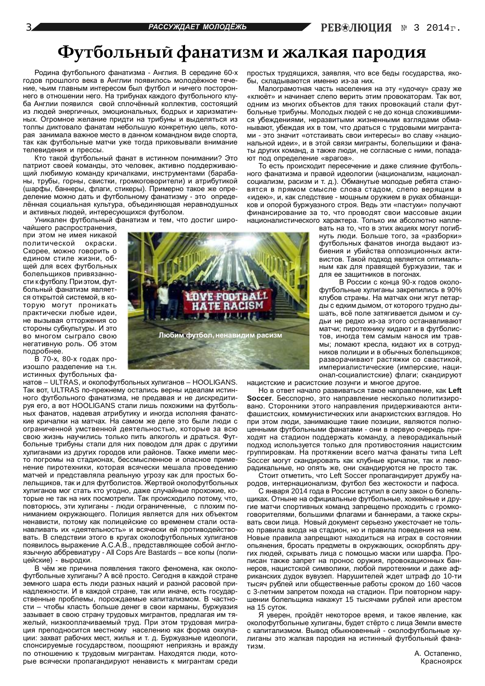# Футбольный фанатизм и жалкая пародия

Родина футбольного фанатизма - Англия. В середине 60-х годов прошлого века в Англии появилось молодёжное течение, чьим главным интересом был футбол и ничего постороннего в отношении него. На трибунах каждого футбольного клуба Англии появился свой сплочённый коллектив, состоящий из людей энергичных, эмоциональных, бодрых и харизматичных. Огромное желание придти на трибуны и выделяться из толпы диктовало фанатам небольшую конкретную цель, которая занимала важное место в данном командном виде спорта, так как футбольные матчи уже тогда приковывали внимание телевидения и прессы.

Кто такой футбольный фанат в истинном понимании? Это патриот своей команды, это человек, активно поддерживающий любимую команду кричалками, инструментами (барабаны, трубы, горны, свистки, громкоговорители) и атрибутикой (шарфы, баннеры, флаги, стикеры). Примерно такое же определение можно дать и футбольному фанатизму - это определённая социальная культура, объединяющая неравнодушных и активных людей, интересующихся футболом.

Уникален футбольный фанатизм и тем, что достиг широ-

чайшего распространения, при этом не имея никакой политической окраски. Скорее, можно говорить о едином стиле жизни, общей для всех футбольных болельщиков привязанности к футболу. При этом, футбольный фанатизм является открытой системой, в которую могут проникать практически любые идеи, He BH3HBAR OTTOD KEHNA CO стороны субкультуры. И это во многом сыграло свою негативную роль. Об этом подробнее.

В 70-х, 80-х годах произошло разделение на т.н. истинных футбольных фа-

 $H$ атов – ULTRAS, и околофутбольных хулиганов – HOOLIGANS. Так вот, ULTRAS по-прежнему остались верны идеалам истинного футбольного фанатизма, не предавая и не дискредитируя его, а вот HOOLIGANS стали лишь похожими на футбольных фанатов, надевая атрибутику и иногда исполняя фанатские кричалки на матчах. На самом же деле это были люди с ограниченной умственной деятельностью, которые за всю свою жизнь научились только пить алкоголь и драться. Футбольные трибуны стали для них поводом для драк с другими хулиганами из других городов или районов. Также имели место погромы на стадионах, бессмысленное и опасное применение пиротехники, которая всячески мешала проведению матчей и представляла реальную угрозу как для простых болельщиков, так и для футболистов. Жертвой околофутбольных хулиганов мог стать кто угодно, даже случайные прохожие, которые не так на них посмотрели. Так происходило потому, что, повторюсь, эти хулиганы - люди ограниченные, с плохим пониманием окружающего. Полиция является для них объектом ненависти, потому как полицейские со временем стали останавливать их «деятельность» и всячески ей противодействовать. В следствии этого в кругах околофутбольных хулиганов появилось выражение А.С.А.В., представляющее собой англоязычную аббревиатуру - All Cops Are Bastards – все копы (полицейские) - выродки.

В чём же причина появления такого феномена, как околофутбольные хулиганы? А всё просто. Сегодня в каждой стране земного шара есть люди разных наций и разной расовой принадлежности. И в каждой стране, так или иначе, есть государственные проблемы, порождаемые капитализмом. В частности – чтобы класть больше денег в свои карманы, буржуазия зазывает в свою страну трудовых мигрантов, предлагая им тяжелый, низкооплачиваемый труд. При этом трудовая миграция преподносится местному населению как форма оккупации: захват рабочих мест, жилья и т. д. Буржуазные идеологи, спонсируемые государством, поощряют неприязнь и вражду по отношению к трудовым мигрантам. Находятся люди, которые всячески пропагандируют ненависть к мигрантам среди



простых трудящихся, заявляя, что все беды государства, якобы, складываются именно из-за них.

Малограмотная часть населения на эту «удочку» сразу же «клюёт» и начинает слепо верить этим провокаторам. Так вот, одним из многих объектов для таких провокаций стали футбольные трибуны. Молодых людей с не до конца сложившимися убеждениями, неразвитыми жизненными взглядами обманывают, убеждая их в том, что драться с трудовыми мигранта-МИ - ЭТО ЗНАЧИТ «ОТСТАИВАТЬ СВОИ ИНТЕРЕСЫ» ВО СЛАВУ «НАЦИОнальной идеи», и в этой связи мигранты, болельщики и фанаты других команд, а также люди, не согласные с ними, попадают пол опрелеление «врагов»

То есть происходит пересечение и даже слияние футбольного фанатизма и правой идеологии (национализм, националсоциализм, расизм и т. д.). Обманутые молодые ребята становятся в прямом смысле слова стадом, слепо верящим в «идею», и, как следствие - мощным оружием в руках обманщиков и опорой буржуазного строя. Ведь эти «пастухи» получают финансирование за то, что проводят свои массовые акции националистического характера. Только им абсолютно напле-

вать на то, что в этих акциях могут погибнуть люди. Больше того, за «разборки» футбольных фанатов иногда выдают избиения и убийства оппозиционных активистов. Такой подход является оптимальным как для правящей буржуазии, так и для ее защитников в погонах.

В России с конца 90-х годов околофутбольные хулиганы закрепились в 90% kлубов страны. На матчах они жгут петарды с едким дымом, от которого трудно дышать, всё поле затягивается дымом и судьи не редко из-за этого останавливают матчи; пиротехнику кидают и в футболис-ТОВ, ИНОГЛА ТАМ САМЫМ НАНОСЯ ИМ ТОАВмы; ломают кресла, кидают их в сотрудников полиции и в обычных болельщиков; разворачивают растяжки со свастикой, империалистические (имперские, национал-социалистские) флаги; скандируют

нацистские и расистские лозунги и многое другое.

Но в ответ начало развиваться такое направление, как Left **Soccer.** Бесспорно, это направление несколько политизировано. Сторонники этого направления придерживаются антифашистских, коммунистических или анархистских взглядов. Но при этом люди, занимающие такие позиции, являются полноценными футбольными фанатами - они в первую очередь приходят на стадион поддержать команду, а леворадикальный подход используется только для противостояния нацистским группировкам. На протяжении всего матча фанаты типа Left Soccer могут скандировать как клубные кричалки, так и леворадикальные, но опять же, они скандируются не просто так.

Стоит отметить, что Left Soccer пропагандирует дружбу народов, интернационализм, футбол без жестокости и пафоса.

С января 2014 года в России вступил в силу закон о болельщиках. Отныне на официальные футбольные, хоккейные и другие матчи спортивных команд запрещено проходить с громкоговорителями, большими флагами и баннерами, а также скрывать свои лица. Новый документ серьезно ужесточает не только правила входа на стадион, но и правила поведения на нем. Новые правила запрешают находиться на играх в состоянии опьянения, бросать предметы в окружающих, оскорблять других людей, скрывать лица с помощью маски или шарфа. Прописан также запрет на пронос оружия, провокационных баннеров, нацистской символики, любой пиротехники и даже африканских дудок вувузел. Нарушителей ждет штраф до 10-ти тысяч рублей или общественные работы сроком до 160 часов с 3-летним запретом похода на стадион. При повторном нарушении болельщика накажут 15 тысячами рублей или арестом на 15 суток.

Я уверен, пройдёт некоторое время, и такое явление, как околофутбольные хулиганы, будет стёрто с лица Земли вместе с капитализмом. Вывод обыкновенный - околофутбольные хулиганы это жалкая пародия на истинный футбольный фанатизм.